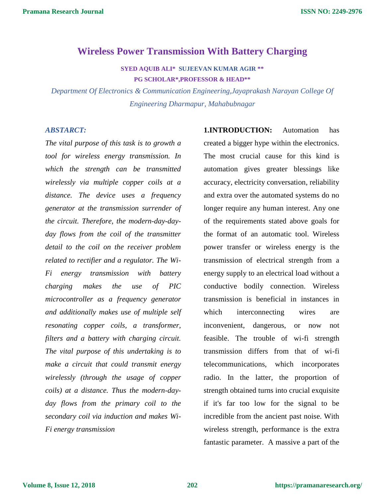# **Wireless Power Transmission With Battery Charging**

**SYED AQUIB ALI\* SUJEEVAN KUMAR AGIR \*\* PG SCHOLAR\*,PROFESSOR & HEAD\*\***

*Department Of Electronics & Communication Engineering,Jayaprakash Narayan College Of Engineering Dharmapur, Mahabubnagar*

### *ABSTARCT:*

*The vital purpose of this task is to growth a tool for wireless energy transmission. In which the strength can be transmitted wirelessly via multiple copper coils at a distance. The device uses a frequency generator at the transmission surrender of the circuit. Therefore, the modern-day-dayday flows from the coil of the transmitter detail to the coil on the receiver problem related to rectifier and a regulator. The Wi-Fi energy transmission with battery charging makes the use of PIC microcontroller as a frequency generator and additionally makes use of multiple self resonating copper coils, a transformer, filters and a battery with charging circuit. The vital purpose of this undertaking is to make a circuit that could transmit energy wirelessly (through the usage of copper coils) at a distance. Thus the modern-dayday flows from the primary coil to the secondary coil via induction and makes Wi-Fi energy transmission*

**1.INTRODUCTION:** Automation has created a bigger hype within the electronics. The most crucial cause for this kind is automation gives greater blessings like accuracy, electricity conversation, reliability and extra over the automated systems do no longer require any human interest. Any one of the requirements stated above goals for the format of an automatic tool. Wireless power transfer or wireless energy is the transmission of electrical strength from a energy supply to an electrical load without a conductive bodily connection. Wireless transmission is beneficial in instances in which interconnecting wires are inconvenient, dangerous, or now not feasible. The trouble of wi-fi strength transmission differs from that of wi-fi telecommunications, which incorporates radio. In the latter, the proportion of strength obtained turns into crucial exquisite if it's far too low for the signal to be incredible from the ancient past noise. With wireless strength, performance is the extra fantastic parameter. A massive a part of the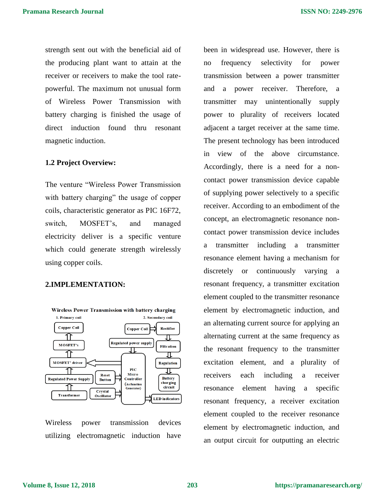strength sent out with the beneficial aid of the producing plant want to attain at the receiver or receivers to make the tool ratepowerful. The maximum not unusual form of Wireless Power Transmission with battery charging is finished the usage of direct induction found thru resonant magnetic induction.

#### **1.2 Project Overview:**

The venture "Wireless Power Transmission with battery charging" the usage of copper coils, characteristic generator as PIC 16F72, switch, MOSFET's, and managed electricity deliver is a specific venture which could generate strength wirelessly using copper coils.

### **2.IMPLEMENTATION:**



Wireless power transmission devices utilizing electromagnetic induction have been in widespread use. However, there is no frequency selectivity for power transmission between a power transmitter and a power receiver. Therefore, a transmitter may unintentionally supply power to plurality of receivers located adjacent a target receiver at the same time. The present technology has been introduced in view of the above circumstance. Accordingly, there is a need for a noncontact power transmission device capable of supplying power selectively to a specific receiver. According to an embodiment of the concept, an electromagnetic resonance noncontact power transmission device includes a transmitter including a transmitter resonance element having a mechanism for discretely or continuously varying a resonant frequency, a transmitter excitation element coupled to the transmitter resonance element by electromagnetic induction, and an alternating current source for applying an alternating current at the same frequency as the resonant frequency to the transmitter excitation element, and a plurality of receivers each including a receiver resonance element having a specific resonant frequency, a receiver excitation element coupled to the receiver resonance element by electromagnetic induction, and an output circuit for outputting an electric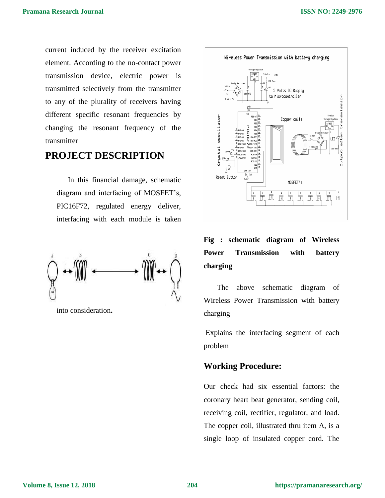current induced by the receiver excitation element. According to the no-contact power transmission device, electric power is transmitted selectively from the transmitter to any of the plurality of receivers having different specific resonant frequencies by changing the resonant frequency of the transmitter

# **PROJECT DESCRIPTION**

In this financial damage, schematic diagram and interfacing of MOSFET's, PIC16F72, regulated energy deliver, interfacing with each module is taken



into consideration**.**



# **Fig : schematic diagram of Wireless Power Transmission with battery charging**

The above schematic diagram of Wireless Power Transmission with battery charging

Explains the interfacing segment of each problem

### **Working Procedure:**

Our check had six essential factors: the coronary heart beat generator, sending coil, receiving coil, rectifier, regulator, and load. The copper coil, illustrated thru item A, is a single loop of insulated copper cord. The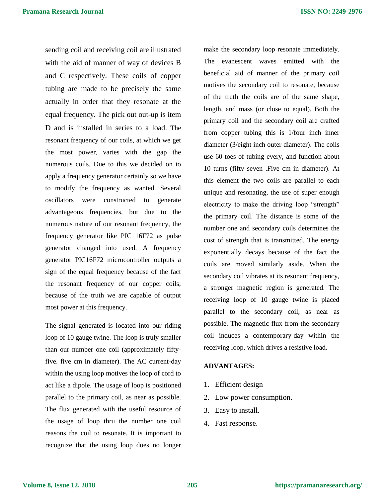sending coil and receiving coil are illustrated with the aid of manner of way of devices B and C respectively. These coils of copper tubing are made to be precisely the same actually in order that they resonate at the equal frequency. The pick out out-up is item D and is installed in series to a load. The resonant frequency of our coils, at which we get the most power, varies with the gap the numerous coils. Due to this we decided on to apply a frequency generator certainly so we have to modify the frequency as wanted. Several oscillators were constructed to generate advantageous frequencies, but due to the numerous nature of our resonant frequency, the frequency generator like PIC 16F72 as pulse generator changed into used. A frequency generator PIC16F72 microcontroller outputs a sign of the equal frequency because of the fact the resonant frequency of our copper coils; because of the truth we are capable of output most power at this frequency.

The signal generated is located into our riding loop of 10 gauge twine. The loop is truly smaller than our number one coil (approximately fiftyfive. five cm in diameter). The AC current-day within the using loop motives the loop of cord to act like a dipole. The usage of loop is positioned parallel to the primary coil, as near as possible. The flux generated with the useful resource of the usage of loop thru the number one coil reasons the coil to resonate. It is important to recognize that the using loop does no longer

make the secondary loop resonate immediately. The evanescent waves emitted with the beneficial aid of manner of the primary coil motives the secondary coil to resonate, because of the truth the coils are of the same shape, length, and mass (or close to equal). Both the primary coil and the secondary coil are crafted from copper tubing this is 1/four inch inner diameter (3/eight inch outer diameter). The coils use 60 toes of tubing every, and function about 10 turns (fifty seven .Five cm in diameter). At this element the two coils are parallel to each unique and resonating, the use of super enough electricity to make the driving loop "strength" the primary coil. The distance is some of the number one and secondary coils determines the cost of strength that is transmitted. The energy exponentially decays because of the fact the coils are moved similarly aside. When the secondary coil vibrates at its resonant frequency, a stronger magnetic region is generated. The receiving loop of 10 gauge twine is placed parallel to the secondary coil, as near as possible. The magnetic flux from the secondary coil induces a contemporary-day within the receiving loop, which drives a resistive load.

#### **ADVANTAGES:**

- 1. Efficient design
- 2. Low power consumption.
- 3. Easy to install.
- 4. Fast response.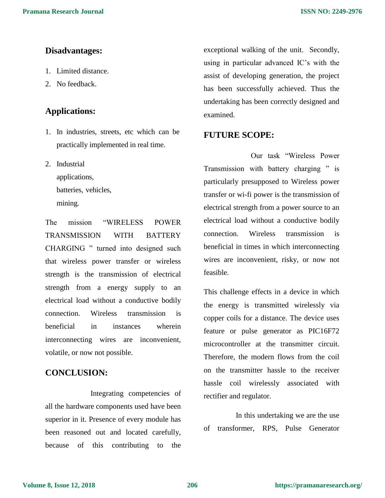### **Disadvantages:**

- 1. Limited distance.
- 2. No feedback.

## **Applications:**

- 1. In industries, streets, etc which can be practically implemented in real time.
- 2. Industrial

applications, batteries, vehicles,

mining.

The mission "WIRELESS POWER TRANSMISSION WITH BATTERY CHARGING " turned into designed such that wireless power transfer or wireless strength is the transmission of electrical strength from a energy supply to an electrical load without a conductive bodily connection. Wireless transmission is beneficial in instances wherein interconnecting wires are inconvenient, volatile, or now not possible.

## **CONCLUSION:**

Integrating competencies of all the hardware components used have been superior in it. Presence of every module has been reasoned out and located carefully, because of this contributing to the

exceptional walking of the unit. Secondly, using in particular advanced IC's with the assist of developing generation, the project has been successfully achieved. Thus the undertaking has been correctly designed and examined.

### **FUTURE SCOPE:**

 Our task "Wireless Power Transmission with battery charging " is particularly presupposed to Wireless power transfer or wi-fi power is the transmission of electrical strength from a power source to an electrical load without a conductive bodily connection. Wireless transmission is beneficial in times in which interconnecting wires are inconvenient, risky, or now not feasible.

This challenge effects in a device in which the energy is transmitted wirelessly via copper coils for a distance. The device uses feature or pulse generator as PIC16F72 microcontroller at the transmitter circuit. Therefore, the modern flows from the coil on the transmitter hassle to the receiver hassle coil wirelessly associated with rectifier and regulator.

 In this undertaking we are the use of transformer, RPS, Pulse Generator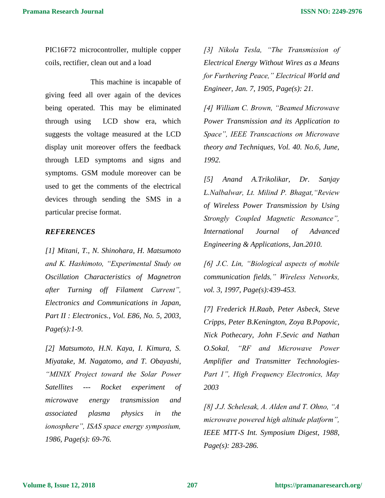PIC16F72 microcontroller, multiple copper coils, rectifier, clean out and a load

This machine is incapable of giving feed all over again of the devices being operated. This may be eliminated through using LCD show era, which suggests the voltage measured at the LCD display unit moreover offers the feedback through LED symptoms and signs and symptoms. GSM module moreover can be used to get the comments of the electrical devices through sending the SMS in a particular precise format.

### *REFERENCES*

*[1] Mitani, T., N. Shinohara, H. Matsumoto and K. Hashimoto, "Experimental Study on Oscillation Characteristics of Magnetron after Turning off Filament Current", Electronics and Communications in Japan, Part II : Electronics., Vol. E86, No. 5, 2003, Page(s):1-9.* 

*[2] Matsumoto, H.N. Kaya, I. Kimura, S. Miyatake, M. Nagatomo, and T. Obayashi, "MINIX Project toward the Solar Power Satellites --- Rocket experiment of microwave energy transmission and associated plasma physics in the ionosphere", ISAS space energy symposium, 1986, Page(s): 69-76.* 

*[3] Nikola Tesla, "The Transmission of Electrical Energy Without Wires as a Means for Furthering Peace," Electrical World and Engineer, Jan. 7, 1905, Page(s): 21.* 

*[4] William C. Brown, "Beamed Microwave Power Transmission and its Application to Space", IEEE Transcactions on Microwave theory and Techniques, Vol. 40. No.6, June, 1992.* 

*[5] Anand A.Trikolikar, Dr. Sanjay L.Nalbalwar, Lt. Milind P. Bhagat,"Review of Wireless Power Transmission by Using Strongly Coupled Magnetic Resonance", International Journal of Advanced Engineering & Applications, Jan.2010.* 

*[6] J.C. Lin, "Biological aspects of mobile communication fields," Wireless Networks, vol. 3, 1997, Page(s):439-453.* 

*[7] Frederick H.Raab, Peter Asbeck, Steve Cripps, Peter B.Kenington, Zoya B.Popovic, Nick Pothecary, John F.Sevic and Nathan O.Sokal, "RF and Microwave Power Amplifier and Transmitter Technologies-Part 1", High Frequency Electronics, May 2003* 

*[8] J.J. Schelesak, A. Alden and T. Ohno, "A microwave powered high altitude platform", IEEE MTT-S Int. Symposium Digest, 1988, Page(s): 283-286.*